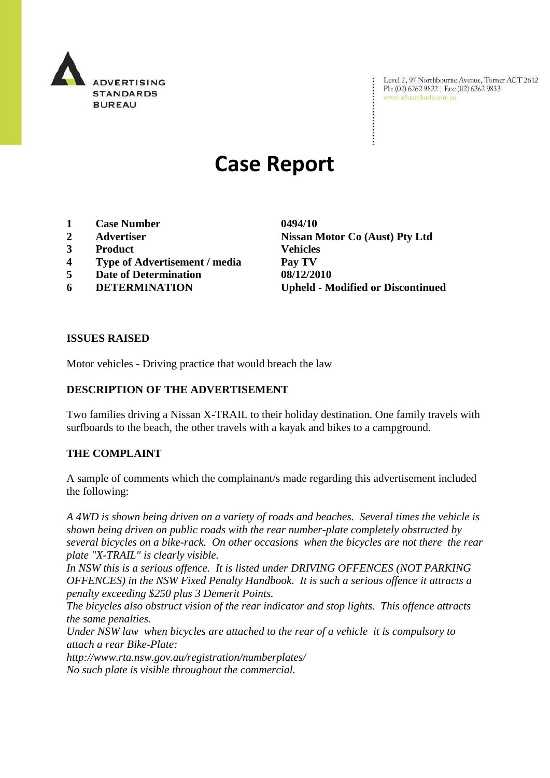

Level 2, 97 Northbourne Avenue, Turner ACT 2612 Ph: (02) 6262 9822 | Fax: (02) 6262 9833 www.adstandards.com.au

# **Case Report**

- **1 Case Number 0494/10**
- 
- **3 Product Vehicles**
- **4 Type of Advertisement / media Pay TV**
- **5 Date of Determination 08/12/2010**
- 

**2 Advertiser Nissan Motor Co (Aust) Pty Ltd 6 DETERMINATION Upheld - Modified or Discontinued**

#### **ISSUES RAISED**

Motor vehicles - Driving practice that would breach the law

## **DESCRIPTION OF THE ADVERTISEMENT**

Two families driving a Nissan X-TRAIL to their holiday destination. One family travels with surfboards to the beach, the other travels with a kayak and bikes to a campground.

#### **THE COMPLAINT**

A sample of comments which the complainant/s made regarding this advertisement included the following:

*A 4WD is shown being driven on a variety of roads and beaches. Several times the vehicle is shown being driven on public roads with the rear number-plate completely obstructed by several bicycles on a bike-rack. On other occasions when the bicycles are not there the rear plate "X-TRAIL" is clearly visible.*

In NSW this is a serious offence. It is listed under DRIVING OFFENCES (NOT PARKING *OFFENCES) in the NSW Fixed Penalty Handbook. It is such a serious offence it attracts a penalty exceeding \$250 plus 3 Demerit Points.*

*The bicycles also obstruct vision of the rear indicator and stop lights. This offence attracts the same penalties.*

*Under NSW law when bicycles are attached to the rear of a vehicle it is compulsory to attach a rear Bike-Plate:*

*http://www.rta.nsw.gov.au/registration/numberplates/ No such plate is visible throughout the commercial.*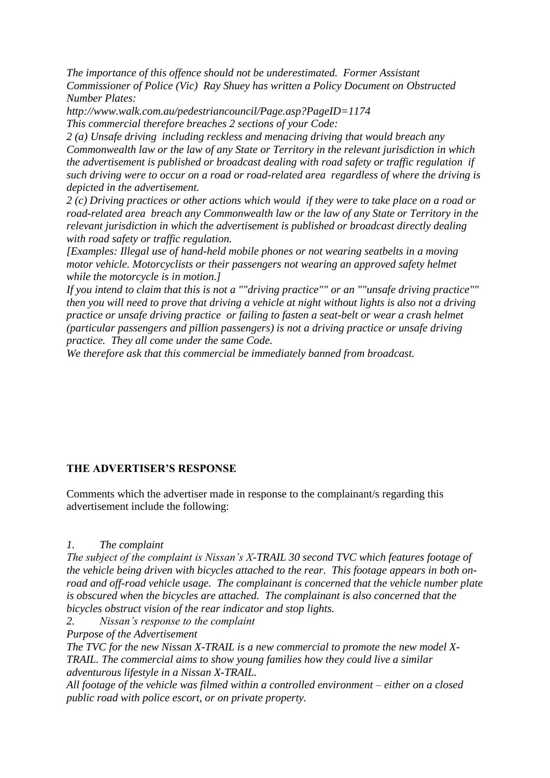*The importance of this offence should not be underestimated. Former Assistant Commissioner of Police (Vic) Ray Shuey has written a Policy Document on Obstructed Number Plates:*

*http://www.walk.com.au/pedestriancouncil/Page.asp?PageID=1174 This commercial therefore breaches 2 sections of your Code:*

*2 (a) Unsafe driving including reckless and menacing driving that would breach any Commonwealth law or the law of any State or Territory in the relevant jurisdiction in which the advertisement is published or broadcast dealing with road safety or traffic regulation if such driving were to occur on a road or road-related area regardless of where the driving is depicted in the advertisement.*

*2 (c) Driving practices or other actions which would if they were to take place on a road or road-related area breach any Commonwealth law or the law of any State or Territory in the relevant jurisdiction in which the advertisement is published or broadcast directly dealing with road safety or traffic regulation.*

*[Examples: Illegal use of hand-held mobile phones or not wearing seatbelts in a moving motor vehicle. Motorcyclists or their passengers not wearing an approved safety helmet while the motorcycle is in motion.]*

*If you intend to claim that this is not a ""driving practice"" or an ""unsafe driving practice"" then you will need to prove that driving a vehicle at night without lights is also not a driving practice or unsafe driving practice or failing to fasten a seat-belt or wear a crash helmet (particular passengers and pillion passengers) is not a driving practice or unsafe driving practice. They all come under the same Code.*

*We therefore ask that this commercial be immediately banned from broadcast.*

## **THE ADVERTISER'S RESPONSE**

Comments which the advertiser made in response to the complainant/s regarding this advertisement include the following:

#### *1. The complaint*

*The subject of the complaint is Nissan's X-TRAIL 30 second TVC which features footage of the vehicle being driven with bicycles attached to the rear. This footage appears in both onroad and off-road vehicle usage. The complainant is concerned that the vehicle number plate is obscured when the bicycles are attached. The complainant is also concerned that the bicycles obstruct vision of the rear indicator and stop lights.*

*2. Nissan's response to the complaint*

*Purpose of the Advertisement*

*The TVC for the new Nissan X-TRAIL is a new commercial to promote the new model X-TRAIL. The commercial aims to show young families how they could live a similar adventurous lifestyle in a Nissan X-TRAIL.* 

*All footage of the vehicle was filmed within a controlled environment – either on a closed public road with police escort, or on private property.*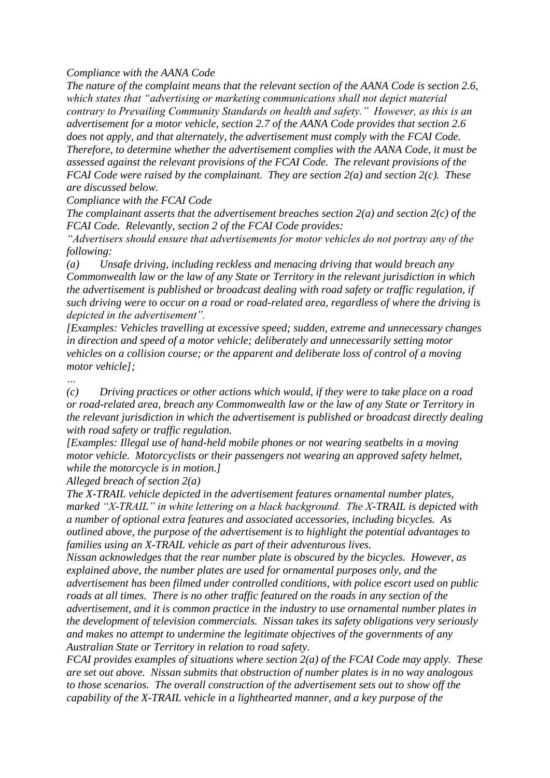*Compliance with the AANA Code*

*The nature of the complaint means that the relevant section of the AANA Code is section 2.6, which states that "advertising or marketing communications shall not depict material contrary to Prevailing Community Standards on health and safety." However, as this is an advertisement for a motor vehicle, section 2.7 of the AANA Code provides that section 2.6 does not apply, and that alternately, the advertisement must comply with the FCAI Code. Therefore, to determine whether the advertisement complies with the AANA Code, it must be assessed against the relevant provisions of the FCAI Code. The relevant provisions of the FCAI Code were raised by the complainant. They are section 2(a) and section 2(c). These are discussed below.*

*Compliance with the FCAI Code*

*The complainant asserts that the advertisement breaches section 2(a) and section 2(c) of the FCAI Code. Relevantly, section 2 of the FCAI Code provides:*

*"Advertisers should ensure that advertisements for motor vehicles do not portray any of the following:*

*(a) Unsafe driving, including reckless and menacing driving that would breach any Commonwealth law or the law of any State or Territory in the relevant jurisdiction in which the advertisement is published or broadcast dealing with road safety or traffic regulation, if such driving were to occur on a road or road-related area, regardless of where the driving is depicted in the advertisement".*

*[Examples: Vehicles travelling at excessive speed; sudden, extreme and unnecessary changes in direction and speed of a motor vehicle; deliberately and unnecessarily setting motor vehicles on a collision course; or the apparent and deliberate loss of control of a moving motor vehicle];*

*…*

*(c) Driving practices or other actions which would, if they were to take place on a road or road-related area, breach any Commonwealth law or the law of any State or Territory in the relevant jurisdiction in which the advertisement is published or broadcast directly dealing with road safety or traffic regulation.*

*[Examples: Illegal use of hand-held mobile phones or not wearing seatbelts in a moving motor vehicle. Motorcyclists or their passengers not wearing an approved safety helmet, while the motorcycle is in motion.]*

*Alleged breach of section 2(a)*

*The X-TRAIL vehicle depicted in the advertisement features ornamental number plates, marked "X-TRAIL" in white lettering on a black background. The X-TRAIL is depicted with a number of optional extra features and associated accessories, including bicycles. As outlined above, the purpose of the advertisement is to highlight the potential advantages to families using an X-TRAIL vehicle as part of their adventurous lives.*

*Nissan acknowledges that the rear number plate is obscured by the bicycles. However, as explained above, the number plates are used for ornamental purposes only, and the advertisement has been filmed under controlled conditions, with police escort used on public roads at all times. There is no other traffic featured on the roads in any section of the advertisement, and it is common practice in the industry to use ornamental number plates in the development of television commercials. Nissan takes its safety obligations very seriously and makes no attempt to undermine the legitimate objectives of the governments of any Australian State or Territory in relation to road safety.*

*FCAI provides examples of situations where section 2(a) of the FCAI Code may apply. These are set out above. Nissan submits that obstruction of number plates is in no way analogous to those scenarios. The overall construction of the advertisement sets out to show off the capability of the X-TRAIL vehicle in a lighthearted manner, and a key purpose of the*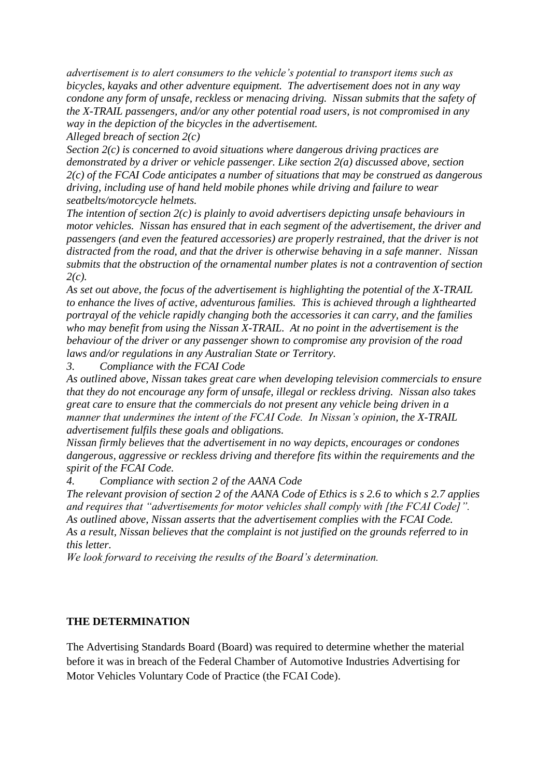*advertisement is to alert consumers to the vehicle's potential to transport items such as bicycles, kayaks and other adventure equipment. The advertisement does not in any way condone any form of unsafe, reckless or menacing driving. Nissan submits that the safety of the X-TRAIL passengers, and/or any other potential road users, is not compromised in any way in the depiction of the bicycles in the advertisement.*

*Alleged breach of section 2(c)*

*Section 2(c) is concerned to avoid situations where dangerous driving practices are demonstrated by a driver or vehicle passenger. Like section 2(a) discussed above, section 2(c) of the FCAI Code anticipates a number of situations that may be construed as dangerous driving, including use of hand held mobile phones while driving and failure to wear seatbelts/motorcycle helmets.* 

*The intention of section 2(c) is plainly to avoid advertisers depicting unsafe behaviours in motor vehicles. Nissan has ensured that in each segment of the advertisement, the driver and passengers (and even the featured accessories) are properly restrained, that the driver is not distracted from the road, and that the driver is otherwise behaving in a safe manner. Nissan submits that the obstruction of the ornamental number plates is not a contravention of section 2(c).*

*As set out above, the focus of the advertisement is highlighting the potential of the X-TRAIL to enhance the lives of active, adventurous families. This is achieved through a lighthearted portrayal of the vehicle rapidly changing both the accessories it can carry, and the families who may benefit from using the Nissan X-TRAIL. At no point in the advertisement is the behaviour of the driver or any passenger shown to compromise any provision of the road laws and/or regulations in any Australian State or Territory.*

*3. Compliance with the FCAI Code*

*As outlined above, Nissan takes great care when developing television commercials to ensure that they do not encourage any form of unsafe, illegal or reckless driving. Nissan also takes great care to ensure that the commercials do not present any vehicle being driven in a manner that undermines the intent of the FCAI Code. In Nissan's opinion, the X-TRAIL advertisement fulfils these goals and obligations.*

*Nissan firmly believes that the advertisement in no way depicts, encourages or condones dangerous, aggressive or reckless driving and therefore fits within the requirements and the spirit of the FCAI Code.*

*4. Compliance with section 2 of the AANA Code*

*The relevant provision of section 2 of the AANA Code of Ethics is s 2.6 to which s 2.7 applies and requires that "advertisements for motor vehicles shall comply with [the FCAI Code]". As outlined above, Nissan asserts that the advertisement complies with the FCAI Code. As a result, Nissan believes that the complaint is not justified on the grounds referred to in this letter.*

*We look forward to receiving the results of the Board's determination.*

## **THE DETERMINATION**

The Advertising Standards Board (Board) was required to determine whether the material before it was in breach of the Federal Chamber of Automotive Industries Advertising for Motor Vehicles Voluntary Code of Practice (the FCAI Code).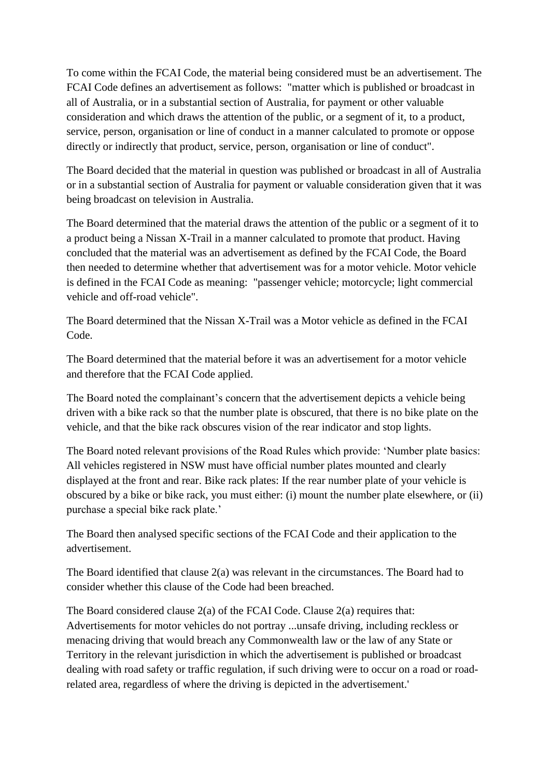To come within the FCAI Code, the material being considered must be an advertisement. The FCAI Code defines an advertisement as follows: "matter which is published or broadcast in all of Australia, or in a substantial section of Australia, for payment or other valuable consideration and which draws the attention of the public, or a segment of it, to a product, service, person, organisation or line of conduct in a manner calculated to promote or oppose directly or indirectly that product, service, person, organisation or line of conduct".

The Board decided that the material in question was published or broadcast in all of Australia or in a substantial section of Australia for payment or valuable consideration given that it was being broadcast on television in Australia.

The Board determined that the material draws the attention of the public or a segment of it to a product being a Nissan X-Trail in a manner calculated to promote that product. Having concluded that the material was an advertisement as defined by the FCAI Code, the Board then needed to determine whether that advertisement was for a motor vehicle. Motor vehicle is defined in the FCAI Code as meaning: "passenger vehicle; motorcycle; light commercial vehicle and off-road vehicle".

The Board determined that the Nissan X-Trail was a Motor vehicle as defined in the FCAI Code.

The Board determined that the material before it was an advertisement for a motor vehicle and therefore that the FCAI Code applied.

The Board noted the complainant's concern that the advertisement depicts a vehicle being driven with a bike rack so that the number plate is obscured, that there is no bike plate on the vehicle, and that the bike rack obscures vision of the rear indicator and stop lights.

The Board noted relevant provisions of the Road Rules which provide: "Number plate basics: All vehicles registered in NSW must have official number plates mounted and clearly displayed at the front and rear. Bike rack plates: If the rear number plate of your vehicle is obscured by a bike or bike rack, you must either: (i) mount the number plate elsewhere, or (ii) purchase a special bike rack plate.'

The Board then analysed specific sections of the FCAI Code and their application to the advertisement.

The Board identified that clause 2(a) was relevant in the circumstances. The Board had to consider whether this clause of the Code had been breached.

The Board considered clause 2(a) of the FCAI Code. Clause 2(a) requires that: Advertisements for motor vehicles do not portray ...unsafe driving, including reckless or menacing driving that would breach any Commonwealth law or the law of any State or Territory in the relevant jurisdiction in which the advertisement is published or broadcast dealing with road safety or traffic regulation, if such driving were to occur on a road or roadrelated area, regardless of where the driving is depicted in the advertisement.'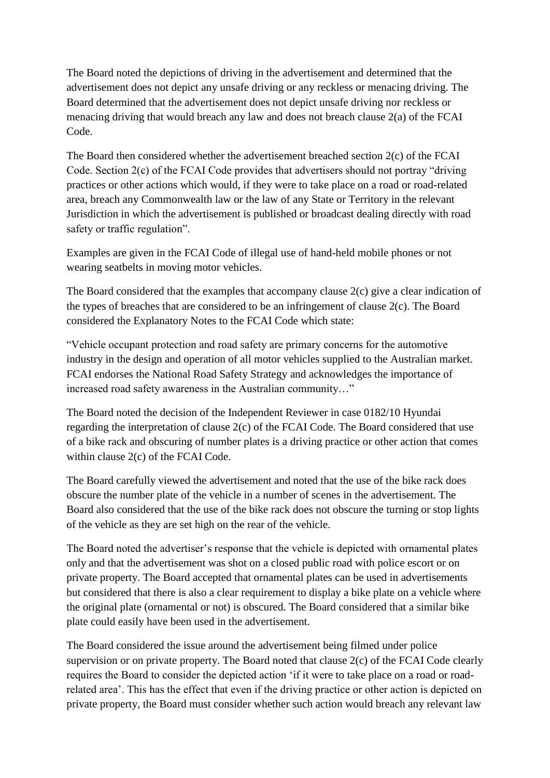The Board noted the depictions of driving in the advertisement and determined that the advertisement does not depict any unsafe driving or any reckless or menacing driving. The Board determined that the advertisement does not depict unsafe driving nor reckless or menacing driving that would breach any law and does not breach clause 2(a) of the FCAI Code.

The Board then considered whether the advertisement breached section 2(c) of the FCAI Code. Section 2(c) of the FCAI Code provides that advertisers should not portray "driving practices or other actions which would, if they were to take place on a road or road-related area, breach any Commonwealth law or the law of any State or Territory in the relevant Jurisdiction in which the advertisement is published or broadcast dealing directly with road safety or traffic regulation".

Examples are given in the FCAI Code of illegal use of hand-held mobile phones or not wearing seatbelts in moving motor vehicles.

The Board considered that the examples that accompany clause 2(c) give a clear indication of the types of breaches that are considered to be an infringement of clause 2(c). The Board considered the Explanatory Notes to the FCAI Code which state:

"Vehicle occupant protection and road safety are primary concerns for the automotive industry in the design and operation of all motor vehicles supplied to the Australian market. FCAI endorses the National Road Safety Strategy and acknowledges the importance of increased road safety awareness in the Australian community…"

The Board noted the decision of the Independent Reviewer in case 0182/10 Hyundai regarding the interpretation of clause 2(c) of the FCAI Code. The Board considered that use of a bike rack and obscuring of number plates is a driving practice or other action that comes within clause 2(c) of the FCAI Code.

The Board carefully viewed the advertisement and noted that the use of the bike rack does obscure the number plate of the vehicle in a number of scenes in the advertisement. The Board also considered that the use of the bike rack does not obscure the turning or stop lights of the vehicle as they are set high on the rear of the vehicle.

The Board noted the advertiser"s response that the vehicle is depicted with ornamental plates only and that the advertisement was shot on a closed public road with police escort or on private property. The Board accepted that ornamental plates can be used in advertisements but considered that there is also a clear requirement to display a bike plate on a vehicle where the original plate (ornamental or not) is obscured. The Board considered that a similar bike plate could easily have been used in the advertisement.

The Board considered the issue around the advertisement being filmed under police supervision or on private property. The Board noted that clause 2(c) of the FCAI Code clearly requires the Board to consider the depicted action "if it were to take place on a road or roadrelated area". This has the effect that even if the driving practice or other action is depicted on private property, the Board must consider whether such action would breach any relevant law